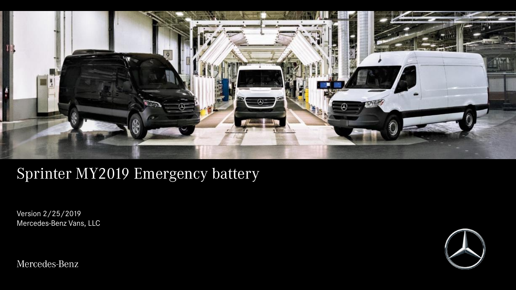

## Sprinter MY2019 Emergency battery

Version 2/25/2019 Mercedes-Benz Vans, LLC

Mercedes-Benz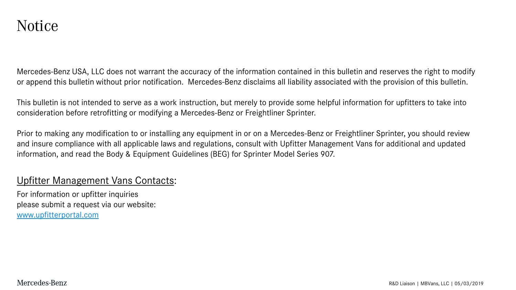Mercedes-Benz USA, LLC does not warrant the accuracy of the information contained in this bulletin and reserves the right to modify or append this bulletin without prior notification. Mercedes-Benz disclaims all liability associated with the provision of this bulletin.

This bulletin is not intended to serve as a work instruction, but merely to provide some helpful information for upfitters to take into consideration before retrofitting or modifying a Mercedes-Benz or Freightliner Sprinter.

Prior to making any modification to or installing any equipment in or on a Mercedes-Benz or Freightliner Sprinter, you should review and insure compliance with all applicable laws and regulations, consult with Upfitter Management Vans for additional and updated information, and read the Body & Equipment Guidelines (BEG) for Sprinter Model Series 907.

## Upfitter Management Vans Contacts:

For information or upfitter inquiries please submit a request via our website: [www.upfitterportal.com](http://www.upfitterportalcom/)